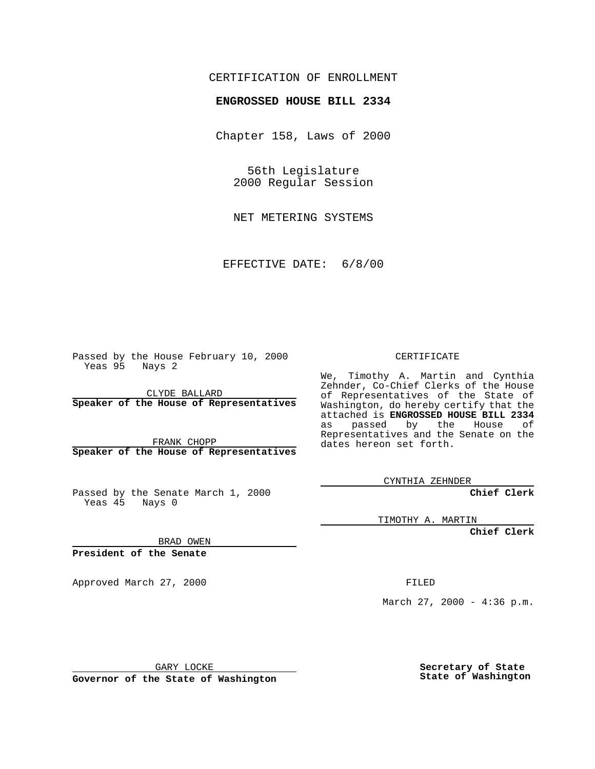## CERTIFICATION OF ENROLLMENT

## **ENGROSSED HOUSE BILL 2334**

Chapter 158, Laws of 2000

56th Legislature 2000 Regular Session

NET METERING SYSTEMS

EFFECTIVE DATE: 6/8/00

Passed by the House February 10, 2000 Yeas 95 Nays 2

CLYDE BALLARD **Speaker of the House of Representatives**

FRANK CHOPP **Speaker of the House of Representatives**

Passed by the Senate March 1, 2000 Yeas 45 Nays 0

CERTIFICATE

We, Timothy A. Martin and Cynthia Zehnder, Co-Chief Clerks of the House of Representatives of the State of Washington, do hereby certify that the attached is **ENGROSSED HOUSE BILL 2334** as passed by the House of Representatives and the Senate on the dates hereon set forth.

CYNTHIA ZEHNDER

**Chief Clerk**

TIMOTHY A. MARTIN

**Chief Clerk**

BRAD OWEN

**President of the Senate**

Approved March 27, 2000 FILED

March 27, 2000 - 4:36 p.m.

GARY LOCKE

**Governor of the State of Washington**

**Secretary of State State of Washington**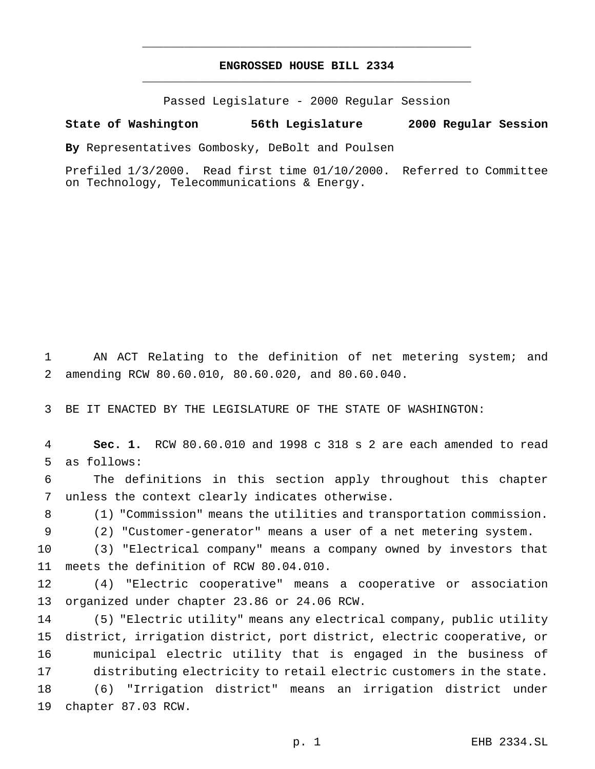## **ENGROSSED HOUSE BILL 2334** \_\_\_\_\_\_\_\_\_\_\_\_\_\_\_\_\_\_\_\_\_\_\_\_\_\_\_\_\_\_\_\_\_\_\_\_\_\_\_\_\_\_\_\_\_\_\_

\_\_\_\_\_\_\_\_\_\_\_\_\_\_\_\_\_\_\_\_\_\_\_\_\_\_\_\_\_\_\_\_\_\_\_\_\_\_\_\_\_\_\_\_\_\_\_

Passed Legislature - 2000 Regular Session

## **State of Washington 56th Legislature 2000 Regular Session**

**By** Representatives Gombosky, DeBolt and Poulsen

Prefiled 1/3/2000. Read first time 01/10/2000. Referred to Committee on Technology, Telecommunications & Energy.

 AN ACT Relating to the definition of net metering system; and amending RCW 80.60.010, 80.60.020, and 80.60.040.

BE IT ENACTED BY THE LEGISLATURE OF THE STATE OF WASHINGTON:

 **Sec. 1.** RCW 80.60.010 and 1998 c 318 s 2 are each amended to read as follows:

 The definitions in this section apply throughout this chapter unless the context clearly indicates otherwise.

(1) "Commission" means the utilities and transportation commission.

(2) "Customer-generator" means a user of a net metering system.

 (3) "Electrical company" means a company owned by investors that meets the definition of RCW 80.04.010.

 (4) "Electric cooperative" means a cooperative or association organized under chapter 23.86 or 24.06 RCW.

 (5) "Electric utility" means any electrical company, public utility district, irrigation district, port district, electric cooperative, or municipal electric utility that is engaged in the business of distributing electricity to retail electric customers in the state. (6) "Irrigation district" means an irrigation district under chapter 87.03 RCW.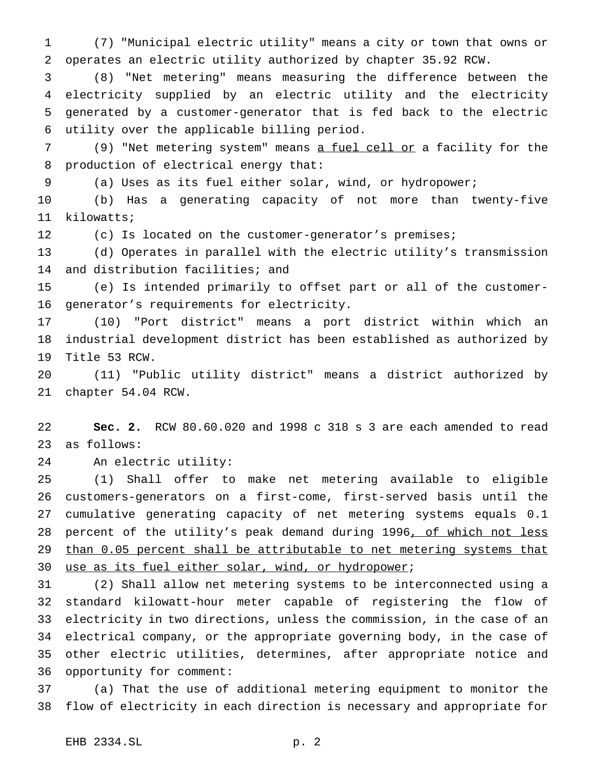(7) "Municipal electric utility" means a city or town that owns or operates an electric utility authorized by chapter 35.92 RCW.

 (8) "Net metering" means measuring the difference between the electricity supplied by an electric utility and the electricity generated by a customer-generator that is fed back to the electric utility over the applicable billing period.

7 (9) "Net metering system" means a fuel cell or a facility for the production of electrical energy that:

(a) Uses as its fuel either solar, wind, or hydropower;

 (b) Has a generating capacity of not more than twenty-five kilowatts;

(c) Is located on the customer-generator's premises;

 (d) Operates in parallel with the electric utility's transmission and distribution facilities; and

 (e) Is intended primarily to offset part or all of the customer-generator's requirements for electricity.

 (10) "Port district" means a port district within which an industrial development district has been established as authorized by Title 53 RCW.

 (11) "Public utility district" means a district authorized by chapter 54.04 RCW.

 **Sec. 2.** RCW 80.60.020 and 1998 c 318 s 3 are each amended to read as follows:

An electric utility:

 (1) Shall offer to make net metering available to eligible customers-generators on a first-come, first-served basis until the cumulative generating capacity of net metering systems equals 0.1 28 percent of the utility's peak demand during 1996, of which not less 29 than 0.05 percent shall be attributable to net metering systems that use as its fuel either solar, wind, or hydropower;

 (2) Shall allow net metering systems to be interconnected using a standard kilowatt-hour meter capable of registering the flow of electricity in two directions, unless the commission, in the case of an electrical company, or the appropriate governing body, in the case of other electric utilities, determines, after appropriate notice and opportunity for comment:

 (a) That the use of additional metering equipment to monitor the flow of electricity in each direction is necessary and appropriate for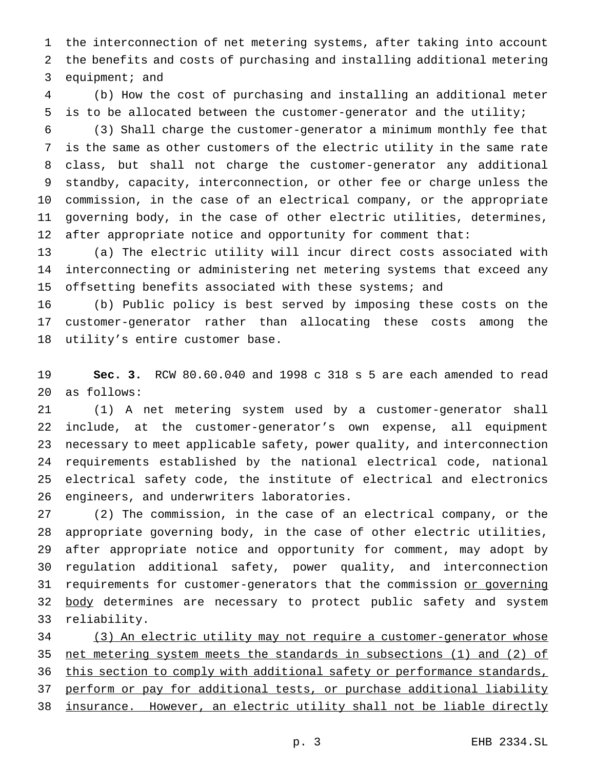the interconnection of net metering systems, after taking into account the benefits and costs of purchasing and installing additional metering 3 equipment; and

 (b) How the cost of purchasing and installing an additional meter is to be allocated between the customer-generator and the utility;

 (3) Shall charge the customer-generator a minimum monthly fee that is the same as other customers of the electric utility in the same rate class, but shall not charge the customer-generator any additional standby, capacity, interconnection, or other fee or charge unless the commission, in the case of an electrical company, or the appropriate governing body, in the case of other electric utilities, determines, after appropriate notice and opportunity for comment that:

 (a) The electric utility will incur direct costs associated with interconnecting or administering net metering systems that exceed any 15 offsetting benefits associated with these systems; and

 (b) Public policy is best served by imposing these costs on the customer-generator rather than allocating these costs among the utility's entire customer base.

 **Sec. 3.** RCW 80.60.040 and 1998 c 318 s 5 are each amended to read as follows:

 (1) A net metering system used by a customer-generator shall include, at the customer-generator's own expense, all equipment necessary to meet applicable safety, power quality, and interconnection requirements established by the national electrical code, national electrical safety code, the institute of electrical and electronics engineers, and underwriters laboratories.

 (2) The commission, in the case of an electrical company, or the appropriate governing body, in the case of other electric utilities, after appropriate notice and opportunity for comment, may adopt by regulation additional safety, power quality, and interconnection 31 requirements for customer-generators that the commission or governing 32 body determines are necessary to protect public safety and system reliability.

 (3) An electric utility may not require a customer-generator whose net metering system meets the standards in subsections (1) and (2) of 36 this section to comply with additional safety or performance standards, 37 perform or pay for additional tests, or purchase additional liability insurance. However, an electric utility shall not be liable directly